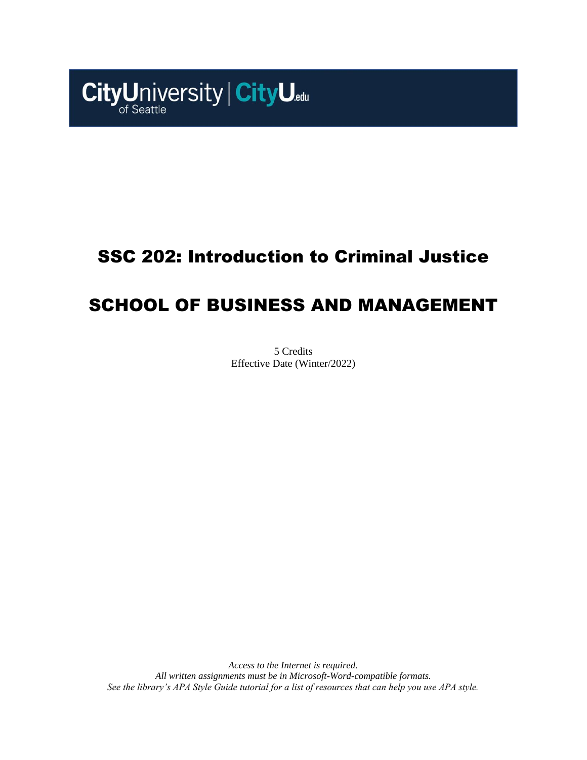

# SSC 202: Introduction to Criminal Justice

# SCHOOL OF BUSINESS AND MANAGEMENT

5 Credits Effective Date (Winter/2022)

*Access to the Internet is required. All written assignments must be in Microsoft-Word-compatible formats. See the library's APA Style Guide tutorial for a list of resources that can help you use APA style.*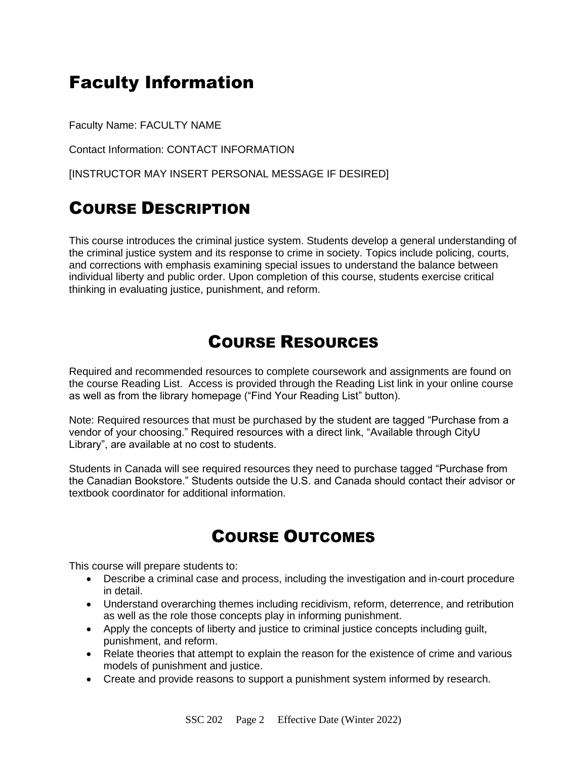# Faculty Information

Faculty Name: FACULTY NAME

Contact Information: CONTACT INFORMATION

[INSTRUCTOR MAY INSERT PERSONAL MESSAGE IF DESIRED]

## COURSE DESCRIPTION

This course introduces the criminal justice system. Students develop a general understanding of the criminal justice system and its response to crime in society. Topics include policing, courts, and corrections with emphasis examining special issues to understand the balance between individual liberty and public order. Upon completion of this course, students exercise critical thinking in evaluating justice, punishment, and reform.

### COURSE RESOURCES

Required and recommended resources to complete coursework and assignments are found on the course Reading List. Access is provided through the Reading List link in your online course as well as from the library homepage ("Find Your Reading List" button).

Note: Required resources that must be purchased by the student are tagged "Purchase from a vendor of your choosing." Required resources with a direct link, "Available through CityU Library", are available at no cost to students.

Students in Canada will see required resources they need to purchase tagged "Purchase from the Canadian Bookstore." Students outside the U.S. and Canada should contact their advisor or textbook coordinator for additional information.

## COURSE OUTCOMES

This course will prepare students to:

- Describe a criminal case and process, including the investigation and in-court procedure in detail.
- Understand overarching themes including recidivism, reform, deterrence, and retribution as well as the role those concepts play in informing punishment.
- Apply the concepts of liberty and justice to criminal justice concepts including guilt, punishment, and reform.
- Relate theories that attempt to explain the reason for the existence of crime and various models of punishment and justice.
- Create and provide reasons to support a punishment system informed by research.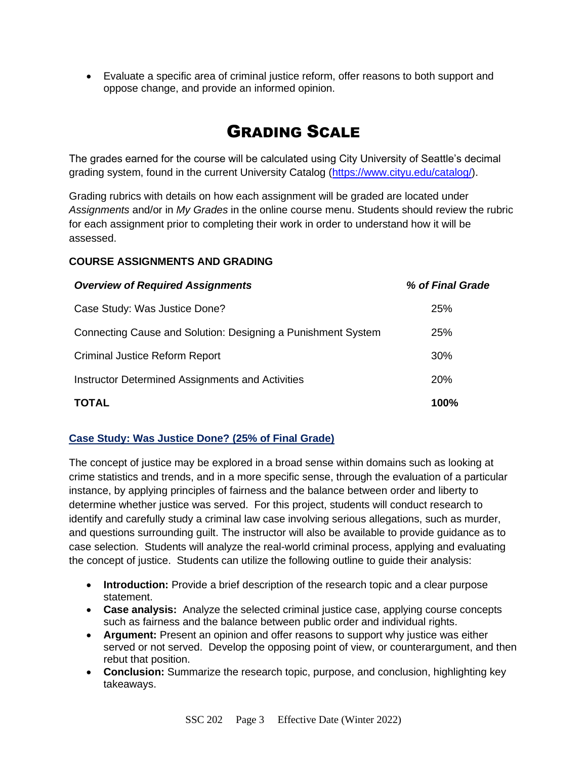• Evaluate a specific area of criminal justice reform, offer reasons to both support and oppose change, and provide an informed opinion.

## GRADING SCALE

The grades earned for the course will be calculated using City University of Seattle's decimal grading system, found in the current University Catalog [\(https://www.cityu.edu/catalog/\)](https://www.cityu.edu/catalog/).

Grading rubrics with details on how each assignment will be graded are located under *Assignments* and/or in *My Grades* in the online course menu. Students should review the rubric for each assignment prior to completing their work in order to understand how it will be assessed.

#### **COURSE ASSIGNMENTS AND GRADING**

| <b>Overview of Required Assignments</b>                      | % of Final Grade |
|--------------------------------------------------------------|------------------|
| Case Study: Was Justice Done?                                | 25%              |
| Connecting Cause and Solution: Designing a Punishment System | 25%              |
| <b>Criminal Justice Reform Report</b>                        | 30%              |
| Instructor Determined Assignments and Activities             | <b>20%</b>       |
| <b>TOTAL</b>                                                 | 100%             |

#### **Case Study: Was Justice Done? (25% of Final Grade)**

The concept of justice may be explored in a broad sense within domains such as looking at crime statistics and trends, and in a more specific sense, through the evaluation of a particular instance, by applying principles of fairness and the balance between order and liberty to determine whether justice was served. For this project, students will conduct research to identify and carefully study a criminal law case involving serious allegations, such as murder, and questions surrounding guilt. The instructor will also be available to provide guidance as to case selection. Students will analyze the real-world criminal process, applying and evaluating the concept of justice. Students can utilize the following outline to guide their analysis:

- **Introduction:** Provide a brief description of the research topic and a clear purpose statement.
- **Case analysis:** Analyze the selected criminal justice case, applying course concepts such as fairness and the balance between public order and individual rights.
- **Argument:** Present an opinion and offer reasons to support why justice was either served or not served. Develop the opposing point of view, or counterargument, and then rebut that position.
- **Conclusion:** Summarize the research topic, purpose, and conclusion, highlighting key takeaways.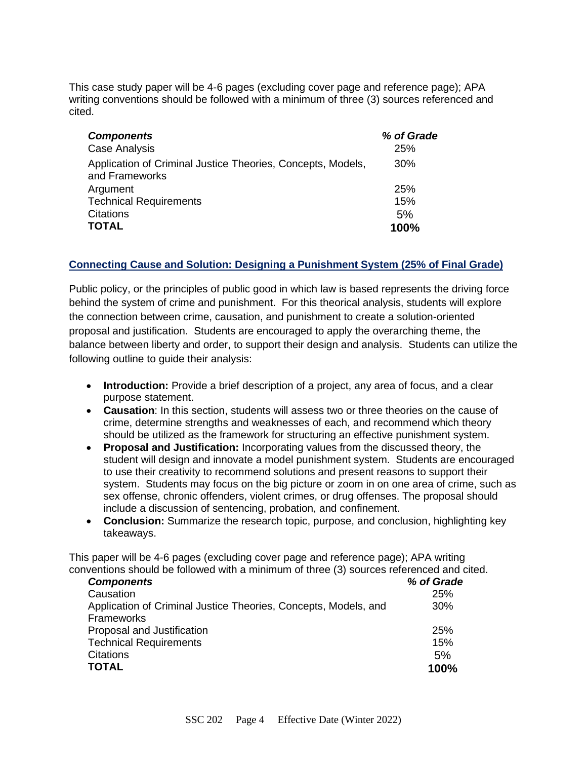This case study paper will be 4-6 pages (excluding cover page and reference page); APA writing conventions should be followed with a minimum of three (3) sources referenced and cited.

| <b>Components</b>                                                             | % of Grade |
|-------------------------------------------------------------------------------|------------|
| Case Analysis                                                                 | 25%        |
| Application of Criminal Justice Theories, Concepts, Models,<br>and Frameworks | 30%        |
| Argument                                                                      | 25%        |
| <b>Technical Requirements</b>                                                 | 15%        |
| <b>Citations</b>                                                              | 5%         |
| <b>TOTAL</b>                                                                  | 100%       |

#### **Connecting Cause and Solution: Designing a Punishment System (25% of Final Grade)**

Public policy, or the principles of public good in which law is based represents the driving force behind the system of crime and punishment. For this theorical analysis, students will explore the connection between crime, causation, and punishment to create a solution-oriented proposal and justification. Students are encouraged to apply the overarching theme, the balance between liberty and order, to support their design and analysis. Students can utilize the following outline to guide their analysis:

- **Introduction:** Provide a brief description of a project, any area of focus, and a clear purpose statement.
- **Causation**: In this section, students will assess two or three theories on the cause of crime, determine strengths and weaknesses of each, and recommend which theory should be utilized as the framework for structuring an effective punishment system.
- **Proposal and Justification:** Incorporating values from the discussed theory, the student will design and innovate a model punishment system. Students are encouraged to use their creativity to recommend solutions and present reasons to support their system. Students may focus on the big picture or zoom in on one area of crime, such as sex offense, chronic offenders, violent crimes, or drug offenses. The proposal should include a discussion of sentencing, probation, and confinement.
- **Conclusion:** Summarize the research topic, purpose, and conclusion, highlighting key takeaways.

This paper will be 4-6 pages (excluding cover page and reference page); APA writing conventions should be followed with a minimum of three (3) sources referenced and cited.

| <b>Components</b>                                               | % of Grade |
|-----------------------------------------------------------------|------------|
| Causation                                                       | 25%        |
| Application of Criminal Justice Theories, Concepts, Models, and | 30%        |
| Frameworks                                                      |            |
| Proposal and Justification                                      | 25%        |
| <b>Technical Requirements</b>                                   | 15%        |
| Citations                                                       | 5%         |
| <b>TOTAL</b>                                                    | 100%       |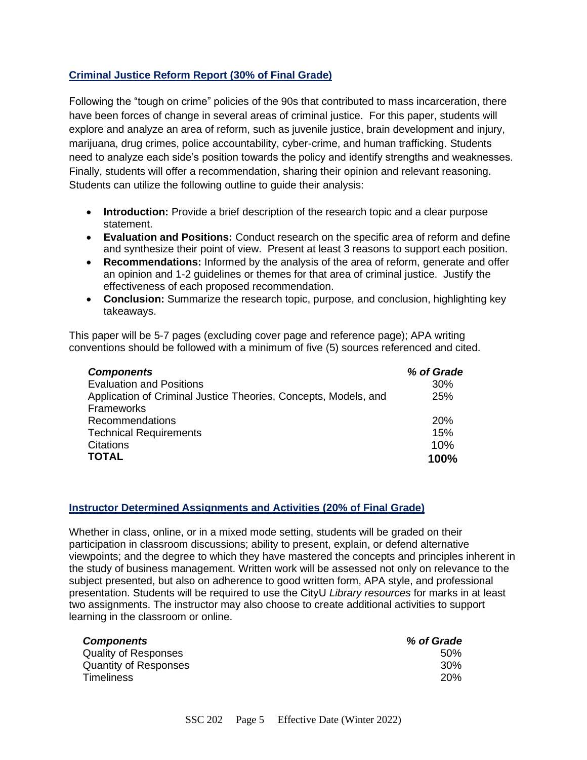#### **Criminal Justice Reform Report (30% of Final Grade)**

Following the "tough on crime" policies of the 90s that contributed to mass incarceration, there have been forces of change in several areas of criminal justice. For this paper, students will explore and analyze an area of reform, such as juvenile justice, brain development and injury, marijuana, drug crimes, police accountability, cyber-crime, and human trafficking. Students need to analyze each side's position towards the policy and identify strengths and weaknesses. Finally, students will offer a recommendation, sharing their opinion and relevant reasoning. Students can utilize the following outline to guide their analysis:

- **Introduction:** Provide a brief description of the research topic and a clear purpose statement.
- **Evaluation and Positions:** Conduct research on the specific area of reform and define and synthesize their point of view. Present at least 3 reasons to support each position.
- **Recommendations:** Informed by the analysis of the area of reform, generate and offer an opinion and 1-2 guidelines or themes for that area of criminal justice. Justify the effectiveness of each proposed recommendation.
- **Conclusion:** Summarize the research topic, purpose, and conclusion, highlighting key takeaways.

This paper will be 5-7 pages (excluding cover page and reference page); APA writing conventions should be followed with a minimum of five (5) sources referenced and cited.

| <b>Components</b>                                               | % of Grade |
|-----------------------------------------------------------------|------------|
| <b>Evaluation and Positions</b>                                 | 30%        |
| Application of Criminal Justice Theories, Concepts, Models, and | 25%        |
| <b>Frameworks</b>                                               |            |
| <b>Recommendations</b>                                          | 20%        |
| <b>Technical Requirements</b>                                   | 15%        |
| <b>Citations</b>                                                | 10%        |
| <b>TOTAL</b>                                                    | 100%       |

#### **Instructor Determined Assignments and Activities (20% of Final Grade)**

Whether in class, online, or in a mixed mode setting, students will be graded on their participation in classroom discussions; ability to present, explain, or defend alternative viewpoints; and the degree to which they have mastered the concepts and principles inherent in the study of business management. Written work will be assessed not only on relevance to the subject presented, but also on adherence to good written form, APA style, and professional presentation. Students will be required to use the CityU *Library resources* for marks in at least two assignments. The instructor may also choose to create additional activities to support learning in the classroom or online.

| <b>Components</b>            | % of Grade |
|------------------------------|------------|
| <b>Quality of Responses</b>  | .50%       |
| <b>Quantity of Responses</b> | 30%        |
| <b>Timeliness</b>            | <b>20%</b> |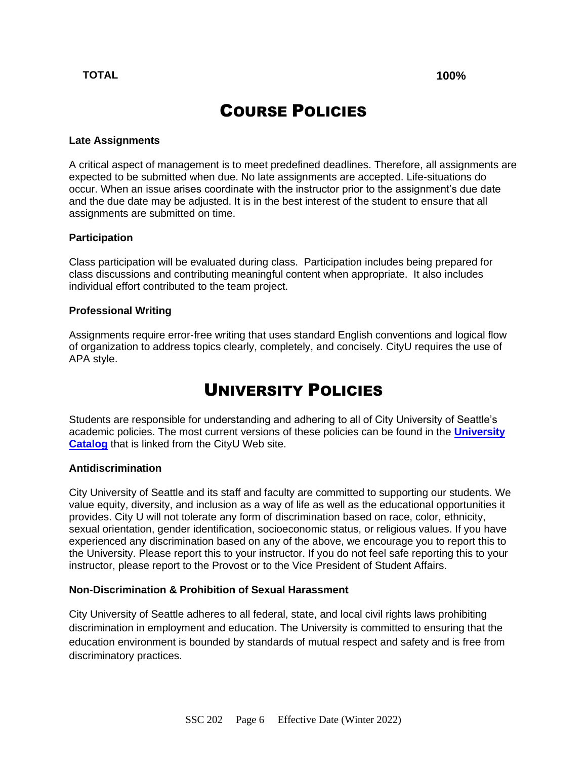#### **TOTAL 100%**

## COURSE POLICIES

#### **Late Assignments**

A critical aspect of management is to meet predefined deadlines. Therefore, all assignments are expected to be submitted when due. No late assignments are accepted. Life-situations do occur. When an issue arises coordinate with the instructor prior to the assignment's due date and the due date may be adjusted. It is in the best interest of the student to ensure that all assignments are submitted on time.

#### **Participation**

Class participation will be evaluated during class. Participation includes being prepared for class discussions and contributing meaningful content when appropriate. It also includes individual effort contributed to the team project.

#### **Professional Writing**

Assignments require error-free writing that uses standard English conventions and logical flow of organization to address topics clearly, completely, and concisely. CityU requires the use of APA style.

### UNIVERSITY POLICIES

Students are responsible for understanding and adhering to all of City University of Seattle's academic policies. The most current versions of these policies can be found in the **[University](http://www.cityu.edu/catalog/)  [Catalog](http://www.cityu.edu/catalog/)** that is linked from the CityU Web site.

#### **Antidiscrimination**

City University of Seattle and its staff and faculty are committed to supporting our students. We value equity, diversity, and inclusion as a way of life as well as the educational opportunities it provides. City U will not tolerate any form of discrimination based on race, color, ethnicity, sexual orientation, gender identification, socioeconomic status, or religious values. If you have experienced any discrimination based on any of the above, we encourage you to report this to the University. Please report this to your instructor. If you do not feel safe reporting this to your instructor, please report to the Provost or to the Vice President of Student Affairs.

#### **Non-Discrimination & Prohibition of Sexual Harassment**

City University of Seattle adheres to all federal, state, and local civil rights laws prohibiting discrimination in employment and education. The University is committed to ensuring that the education environment is bounded by standards of mutual respect and safety and is free from discriminatory practices.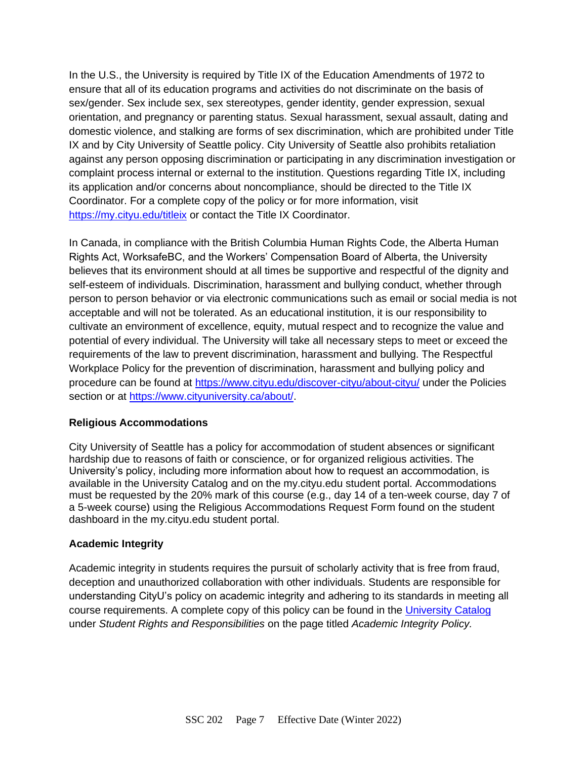In the U.S., the University is required by Title IX of the Education Amendments of 1972 to ensure that all of its education programs and activities do not discriminate on the basis of sex/gender. Sex include sex, sex stereotypes, gender identity, gender expression, sexual orientation, and pregnancy or parenting status. Sexual harassment, sexual assault, dating and domestic violence, and stalking are forms of sex discrimination, which are prohibited under Title IX and by City University of Seattle policy. City University of Seattle also prohibits retaliation against any person opposing discrimination or participating in any discrimination investigation or complaint process internal or external to the institution. Questions regarding Title IX, including its application and/or concerns about noncompliance, should be directed to the Title IX Coordinator. For a complete copy of the policy or for more information, visit <https://my.cityu.edu/titleix> or contact the Title IX Coordinator.

In Canada, in compliance with the British Columbia Human Rights Code, the Alberta Human Rights Act, WorksafeBC, and the Workers' Compensation Board of Alberta, the University believes that its environment should at all times be supportive and respectful of the dignity and self-esteem of individuals. Discrimination, harassment and bullying conduct, whether through person to person behavior or via electronic communications such as email or social media is not acceptable and will not be tolerated. As an educational institution, it is our responsibility to cultivate an environment of excellence, equity, mutual respect and to recognize the value and potential of every individual. The University will take all necessary steps to meet or exceed the requirements of the law to prevent discrimination, harassment and bullying. The Respectful Workplace Policy for the prevention of discrimination, harassment and bullying policy and procedure can be found at<https://www.cityu.edu/discover-cityu/about-cityu/> under the Policies section or at [https://www.cityuniversity.ca/about/.](https://www.cityuniversity.ca/about/)

#### **Religious Accommodations**

City University of Seattle has a policy for accommodation of student absences or significant hardship due to reasons of faith or conscience, or for organized religious activities. The University's policy, including more information about how to request an accommodation, is available in the University Catalog and on the my.cityu.edu student portal. Accommodations must be requested by the 20% mark of this course (e.g., day 14 of a ten-week course, day 7 of a 5-week course) using the Religious Accommodations Request Form found on the student dashboard in the my.cityu.edu student portal.

#### **Academic Integrity**

Academic integrity in students requires the pursuit of scholarly activity that is free from fraud, deception and unauthorized collaboration with other individuals. Students are responsible for understanding CityU's policy on academic integrity and adhering to its standards in meeting all course requirements. A complete copy of this policy can be found in the [University Catalog](http://www.cityu.edu/catalog/) under *Student Rights and Responsibilities* on the page titled *Academic Integrity Policy.*